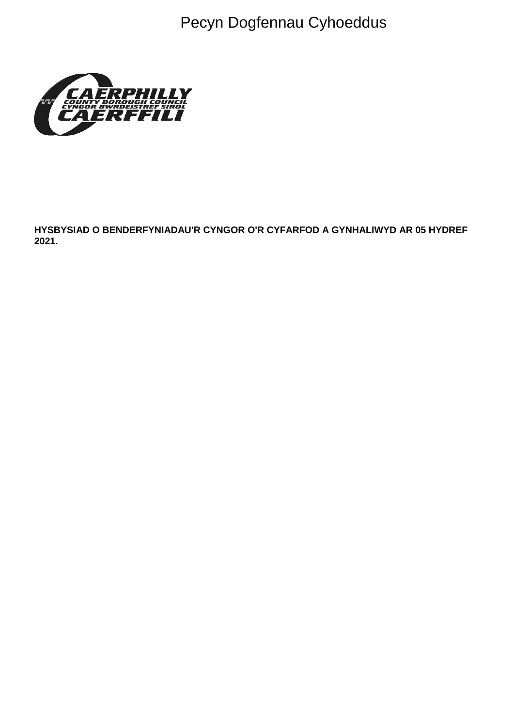Pecyn Dogfennau Cyhoeddus



HYSBYSIAD O BENDERFYNIADAU'R CYNGOR O'R CYFARFOD A GYNHALIWYD AR 05 HYDREF 2021.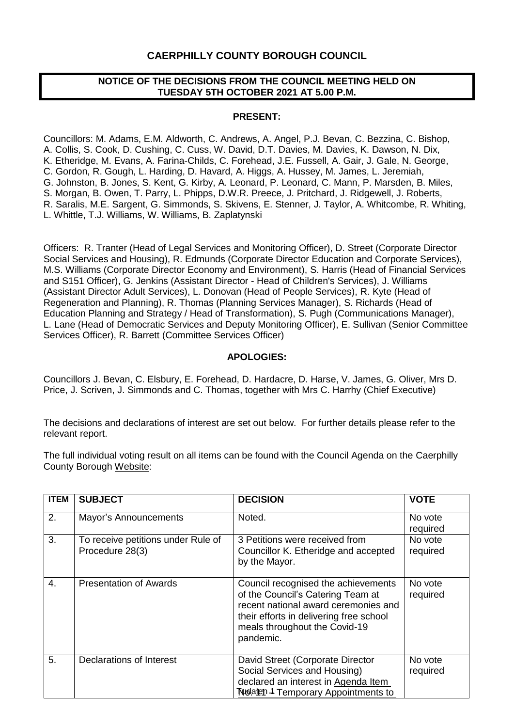## **CAERPHILLY COUNTY BOROUGH COUNCIL**

### **NOTICE OF THE DECISIONS FROM THE COUNCIL MEETING HELD ON TUESDAY 5TH OCTOBER 2021 AT 5.00 P.M.**

### **PRESENT:**

Councillors: M. Adams, E.M. Aldworth, C. Andrews, A. Angel, P.J. Bevan, C. Bezzina, C. Bishop, A. Collis, S. Cook, D. Cushing, C. Cuss, W. David, D.T. Davies, M. Davies, K. Dawson, N. Dix, K. Etheridge, M. Evans, A. Farina-Childs, C. Forehead, J.E. Fussell, A. Gair, J. Gale, N. George, C. Gordon, R. Gough, L. Harding, D. Havard, A. Higgs, A. Hussey, M. James, L. Jeremiah, G. Johnston, B. Jones, S. Kent, G. Kirby, A. Leonard, P. Leonard, C. Mann, P. Marsden, B. Miles, S. Morgan, B. Owen, T. Parry, L. Phipps, D.W.R. Preece, J. Pritchard, J. Ridgewell, J. Roberts, R. Saralis, M.E. Sargent, G. Simmonds, S. Skivens, E. Stenner, J. Taylor, A. Whitcombe, R. Whiting, L. Whittle, T.J. Williams, W. Williams, B. Zaplatynski

Officers: R. Tranter (Head of Legal Services and Monitoring Officer), D. Street (Corporate Director Social Services and Housing), R. Edmunds (Corporate Director Education and Corporate Services), M.S. Williams (Corporate Director Economy and Environment), S. Harris (Head of Financial Services and S151 Officer), G. Jenkins (Assistant Director - Head of Children's Services), J. Williams (Assistant Director Adult Services), L. Donovan (Head of People Services), R. Kyte (Head of Regeneration and Planning), R. Thomas (Planning Services Manager), S. Richards (Head of Education Planning and Strategy / Head of Transformation), S. Pugh (Communications Manager), L. Lane (Head of Democratic Services and Deputy Monitoring Officer), E. Sullivan (Senior Committee Services Officer), R. Barrett (Committee Services Officer)

### **APOLOGIES:**

Councillors J. Bevan, C. Elsbury, E. Forehead, D. Hardacre, D. Harse, V. James, G. Oliver, Mrs D. Price, J. Scriven, J. Simmonds and C. Thomas, together with Mrs C. Harrhy (Chief Executive)

The decisions and declarations of interest are set out below. For further details please refer to the relevant report.

The full individual voting result on all items can be found with the Council Agenda on the Caerphilly County Borough [Website:](https://www.caerphilly.gov.uk/My-Council/Meetings,-agendas,-minutes-and-reports)

| <b>ITEM</b> | <b>SUBJECT</b>                                        | <b>DECISION</b>                                                                                                                                                                                           | <b>VOTE</b>         |
|-------------|-------------------------------------------------------|-----------------------------------------------------------------------------------------------------------------------------------------------------------------------------------------------------------|---------------------|
| 2.          | Mayor's Announcements                                 | Noted.                                                                                                                                                                                                    | No vote<br>required |
| 3.          | To receive petitions under Rule of<br>Procedure 28(3) | 3 Petitions were received from<br>Councillor K. Etheridge and accepted<br>by the Mayor.                                                                                                                   | No vote<br>required |
| 4.          | <b>Presentation of Awards</b>                         | Council recognised the achievements<br>of the Council's Catering Team at<br>recent national award ceremonies and<br>their efforts in delivering free school<br>meals throughout the Covid-19<br>pandemic. | No vote<br>required |
| 5.          | Declarations of Interest                              | David Street (Corporate Director<br>Social Services and Housing)<br>declared an interest in Agenda Item<br>No Aren 1 Temporary Appointments to                                                            | No vote<br>required |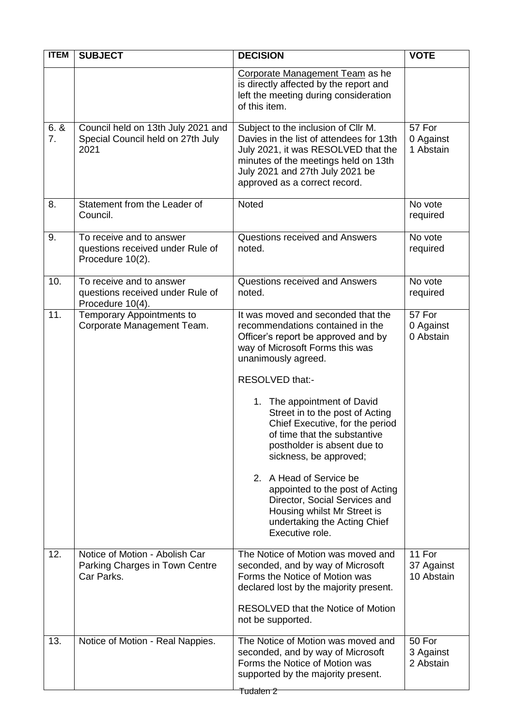| <b>ITEM</b> | <b>SUBJECT</b>                                                                   | <b>DECISION</b>                                                                                                                                                                                                                                                                                                                                                                                                                                                                                                                                                           | <b>VOTE</b>                        |
|-------------|----------------------------------------------------------------------------------|---------------------------------------------------------------------------------------------------------------------------------------------------------------------------------------------------------------------------------------------------------------------------------------------------------------------------------------------------------------------------------------------------------------------------------------------------------------------------------------------------------------------------------------------------------------------------|------------------------------------|
|             |                                                                                  | Corporate Management Team as he<br>is directly affected by the report and<br>left the meeting during consideration<br>of this item.                                                                                                                                                                                                                                                                                                                                                                                                                                       |                                    |
| 6.8<br>7.   | Council held on 13th July 2021 and<br>Special Council held on 27th July<br>2021  | Subject to the inclusion of Cllr M.<br>Davies in the list of attendees for 13th<br>July 2021, it was RESOLVED that the<br>minutes of the meetings held on 13th<br>July 2021 and 27th July 2021 be<br>approved as a correct record.                                                                                                                                                                                                                                                                                                                                        | 57 For<br>0 Against<br>1 Abstain   |
| 8.          | Statement from the Leader of<br>Council.                                         | Noted                                                                                                                                                                                                                                                                                                                                                                                                                                                                                                                                                                     | No vote<br>required                |
| 9.          | To receive and to answer<br>questions received under Rule of<br>Procedure 10(2). | Questions received and Answers<br>noted.                                                                                                                                                                                                                                                                                                                                                                                                                                                                                                                                  | No vote<br>required                |
| 10.         | To receive and to answer<br>questions received under Rule of<br>Procedure 10(4). | Questions received and Answers<br>noted.                                                                                                                                                                                                                                                                                                                                                                                                                                                                                                                                  | No vote<br>required                |
| 11.         | Temporary Appointments to<br>Corporate Management Team.                          | It was moved and seconded that the<br>recommendations contained in the<br>Officer's report be approved and by<br>way of Microsoft Forms this was<br>unanimously agreed.<br>RESOLVED that:-<br>1. The appointment of David<br>Street in to the post of Acting<br>Chief Executive, for the period<br>of time that the substantive<br>postholder is absent due to<br>sickness, be approved;<br>2. A Head of Service be<br>appointed to the post of Acting<br>Director, Social Services and<br>Housing whilst Mr Street is<br>undertaking the Acting Chief<br>Executive role. | 57 For<br>0 Against<br>0 Abstain   |
| 12.         | Notice of Motion - Abolish Car<br>Parking Charges in Town Centre<br>Car Parks.   | The Notice of Motion was moved and<br>seconded, and by way of Microsoft<br>Forms the Notice of Motion was<br>declared lost by the majority present.<br><b>RESOLVED that the Notice of Motion</b><br>not be supported.                                                                                                                                                                                                                                                                                                                                                     | 11 For<br>37 Against<br>10 Abstain |
| 13.         | Notice of Motion - Real Nappies.                                                 | The Notice of Motion was moved and<br>seconded, and by way of Microsoft<br>Forms the Notice of Motion was<br>supported by the majority present.<br><del>Tudalen 2</del>                                                                                                                                                                                                                                                                                                                                                                                                   | 50 For<br>3 Against<br>2 Abstain   |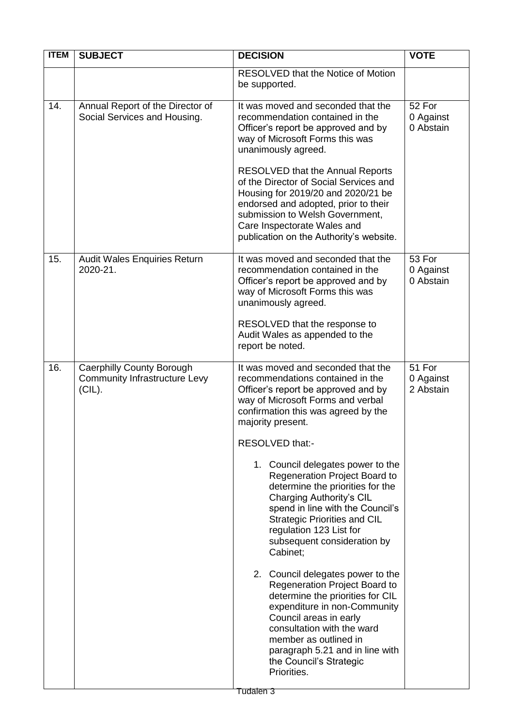| <b>ITEM</b> | <b>SUBJECT</b>                                                                 | <b>DECISION</b>                                                                                                                                                                                                                                                                                                                                                                                                                                                                                                                                                                                                                                                                                                                                                                                                                  | <b>VOTE</b>                      |
|-------------|--------------------------------------------------------------------------------|----------------------------------------------------------------------------------------------------------------------------------------------------------------------------------------------------------------------------------------------------------------------------------------------------------------------------------------------------------------------------------------------------------------------------------------------------------------------------------------------------------------------------------------------------------------------------------------------------------------------------------------------------------------------------------------------------------------------------------------------------------------------------------------------------------------------------------|----------------------------------|
|             |                                                                                | <b>RESOLVED that the Notice of Motion</b><br>be supported.                                                                                                                                                                                                                                                                                                                                                                                                                                                                                                                                                                                                                                                                                                                                                                       |                                  |
| 14.         | Annual Report of the Director of<br>Social Services and Housing.               | It was moved and seconded that the<br>recommendation contained in the<br>Officer's report be approved and by<br>way of Microsoft Forms this was<br>unanimously agreed.<br><b>RESOLVED that the Annual Reports</b><br>of the Director of Social Services and<br>Housing for 2019/20 and 2020/21 be<br>endorsed and adopted, prior to their<br>submission to Welsh Government,<br>Care Inspectorate Wales and<br>publication on the Authority's website.                                                                                                                                                                                                                                                                                                                                                                           | 52 For<br>0 Against<br>0 Abstain |
| 15.         | Audit Wales Enquiries Return<br>2020-21.                                       | It was moved and seconded that the<br>recommendation contained in the<br>Officer's report be approved and by<br>way of Microsoft Forms this was<br>unanimously agreed.<br>RESOLVED that the response to<br>Audit Wales as appended to the<br>report be noted.                                                                                                                                                                                                                                                                                                                                                                                                                                                                                                                                                                    | 53 For<br>0 Against<br>0 Abstain |
| 16.         | Caerphilly County Borough<br><b>Community Infrastructure Levy</b><br>$(CIL)$ . | It was moved and seconded that the<br>recommendations contained in the<br>Officer's report be approved and by<br>way of Microsoft Forms and verbal<br>confirmation this was agreed by the<br>majority present.<br>RESOLVED that:-<br>1. Council delegates power to the<br>Regeneration Project Board to<br>determine the priorities for the<br>Charging Authority's CIL<br>spend in line with the Council's<br><b>Strategic Priorities and CIL</b><br>regulation 123 List for<br>subsequent consideration by<br>Cabinet;<br>2. Council delegates power to the<br>Regeneration Project Board to<br>determine the priorities for CIL<br>expenditure in non-Community<br>Council areas in early<br>consultation with the ward<br>member as outlined in<br>paragraph 5.21 and in line with<br>the Council's Strategic<br>Priorities. | 51 For<br>0 Against<br>2 Abstain |